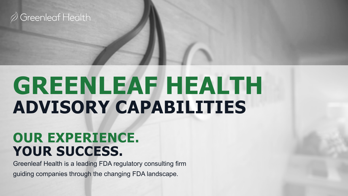

# **GREENLEAF HEALTH ADVISORY CAPABILITIES**

### **OUR EXPERIENCE. YOUR SUCCESS.**

Greenleaf Health is a leading FDA regulatory consulting firm guiding companies through the changing FDA landscape.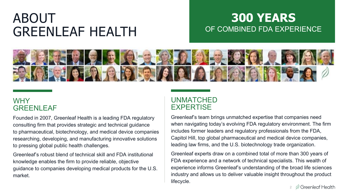### ABOUT GREENLEAF HEALTH

### **300 YEARS** OF COMBINED FDA EXPERIENCE



### **WHY** GREENLEAF

Founded in 2007, Greenleaf Health is a leading FDA regulatory consulting firm that provides strategic and technical guidance to pharmaceutical, biotechnology, and medical device companies researching, developing, and manufacturing innovative solutions to pressing global public health challenges.

Greenleaf's robust blend of technical skill and FDA institutional knowledge enables the firm to provide reliable, objective guidance to companies developing medical products for the U.S. market.

### UNMATCHED EXPERTISE

Greenleaf's team brings unmatched expertise that companies need when navigating today's evolving FDA regulatory environment. The firm includes former leaders and regulatory professionals from the FDA, Capitol Hill, top global pharmaceutical and medical device companies, leading law firms, and the U.S. biotechnology trade organization.

Greenleaf experts draw on a combined total of more than 300 years of FDA experience and a network of technical specialists. This wealth of experience informs Greenleaf's understanding of the broad life sciences industry and allows us to deliver valuable insight throughout the product lifecycle.

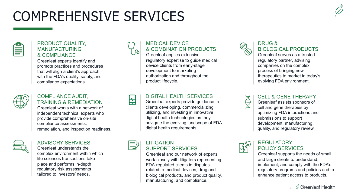### COMPREHENSIVE SERVICES



#### PRODUCT QUALITY, MANUFACTURING & COMPLIANCE

Greenleaf experts identify and promote practices and procedures that will align a client's approach with the FDA's quality, safety, and compliance expectations.



#### COMPLIANCE AUDIT, TRAINING & REMEDIATION

Greenleaf works with a network of independent technical experts who provide comprehensive on-site compliance assessments, remediation, and inspection readiness.



#### ADVISORY SERVICES

Greenleaf understands the complex environment within which life sciences transactions take place and performs in-depth regulatory risk assessments tailored to investors' needs.

#### MEDICAL DEVICE & COMBINATION PRODUCTS

Greenleaf applies extensive regulatory expertise to guide medical device clients from early-stage development to marketing authorization and throughout the product lifecycle.

### $\frac{1}{2}$

#### DIGITAL HEALTH SERVICES

Greenleaf experts provide guidance to clients developing, commercializing, utilizing, and investing in innovative digital health technologies as they navigate the evolving landscape of FDA digital health requirements.

#### **LITIGATION** SUPPORT SERVICES

Greenleaf and our network of experts work closely with litigators representing FDA-regulated clients in disputes related to medical devices, drug and biological products, and product quality, manufacturing, and compliance.



#### DRUG & BIOLOGICAL PRODUCTS

Greenleaf serves as a trusted regulatory partner, advising companies on the complex process of bringing new therapeutics to market in today's evolving FDA environment.

#### CELL & GENE THERAPY

Greenleaf assists sponsors of cell and gene therapies by optimizing FDA interactions and submissions to support development, manufacturing, quality, and regulatory review.



 $\ominus$ 

#### REGULATORY POLICY SERVICES

Greenleaf supports the needs of small and large clients to understand, implement, and comply with the FDA's regulatory programs and policies and to enhance patient access to products.

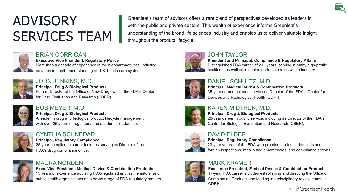## ADVISORY SERVICES TEAM

Greenleaf's team of advisors offers a rare blend of perspectives developed as leaders in both the public and private sectors. This wealth of experience informs Greenleaf's understanding of the broad life sciences industry and enables us to deliver valuable insight throughout the product lifecycle.



### BRIAN CORRIGAN

**Executive Vice President, Regulatory Policy** More than a decade of experience in the biopharmaceutical industry provides in-depth understanding of U.S. health care system.



#### JOHN JENKINS, M.D.

**Principal, Drug & Biological Products** Former Director of the Office of New Drugs within the FDA's Center for Drug Evaluation and Research (CDER).



#### BOB MEYER, M.D.

**Principal, Drug & Biological Products**  A leader in drug and biological product lifecycle management with over 25 years of regulatory and academic leadership.



#### CYNTHIA SCHNEDAR

**Principal, Regulatory Compliance** 25-year compliance career includes serving as Director of the FDA's drug compliance office.



#### MAURA NORDEN

**Exec. Vice President, Medical Device & Combination Products** 15 years of experience advising FDA-regulated entities, investors, and public health organizations on a broad range of FDA regulatory matters.



#### JOHN TAYLOR

**President and Principal, Compliance & Regulatory Affairs** Distinguished FDA career of 20+ years, serving in many high-profile positions, as well as in senior leadership roles within industry.



#### DANIEL SCHULTZ, M.D.

**Principal, Medical Device & Combination Products** 35-year career includes service as Director of the FDA's Center for Devices and Radiological Health (CDRH).



#### KAREN MIDTHUN, M.D.

#### **Principal, Drug & Biological Products**  28-year career in public service, including as Director of the FDA's

Center for Biologics Evaluation and Research (CBER).

CDRH.

#### DAVID ELDER

#### **Principal, Regulatory Compliance**

23-year veteran of the FDA with prominent roles in domestic and foreign inspections, recalls and emergencies, and compliance actions.

#### MARK KRAMER

**Exec. Vice President, Medical Device & Combination Products** 17-year FDA career includes establishing and directing the Office of Combination Products and leading interdisciplinary review teams in

> Greenleaf Health 4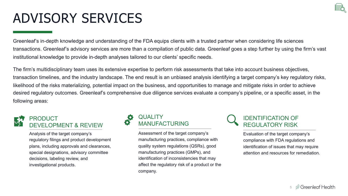## ADVISORY SERVICES

Greenleaf's in-depth knowledge and understanding of the FDA equips clients with a trusted partner when considering life sciences transactions. Greenleaf's advisory services are more than a compilation of public data. Greenleaf goes a step further by using the firm's vast institutional knowledge to provide in-depth analyses tailored to our clients' specific needs.

The firm's multidisciplinary team uses its extensive expertise to perform risk assessments that take into account business objectives, transaction timelines, and the industry landscape. The end result is an unbiased analysis identifying a target company's key regulatory risks, likelihood of the risks materializing, potential impact on the business, and opportunities to manage and mitigate risks in order to achieve desired regulatory outcomes. Greenleaf's comprehensive due diligence services evaluate a company's pipeline, or a specific asset, in the following areas:



#### PRODUCT DEVELOPMENT & REVIEW

Analysis of the target company's regulatory filings and product development plans, including approvals and clearances, special designations, advisory committee decisions, labeling review, and investigational products.



Assessment of the target company's manufacturing practices, compliance with quality system regulations (QSRs), good manufacturing practices (GMPs), and identification of inconsistencies that may affect the regulatory risk of a product or the company.



Evaluation of the target company's compliance with FDA regulations and identification of issues that may require attention and resources for remediation.

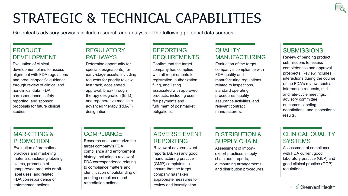### STRATEGIC & TECHNICAL CAPABILITIES

Greenleaf's advisory services include research and analysis of the following potential data sources:

#### PRODUCT DEVELOPMENT

Evaluation of clinical development plans to assess alignment with FDA regulations and product-specific guidance through review of clinical and nonclinical data, FDA correspondence, safety reporting, and sponsor proposals for future clinical studies.

#### **REGULATORY** PATHWAYS

Determine opportunity for special designation(s) for early-stage assets, including requests for priority review, fast track, accelerated approval, breakthrough therapy designation (BTD), and regenerative medicine advanced therapy (RMAT) designation.

#### REPORTING REQUIREMENTS

Confirm that the target company has complied with all requirements for registration, authorization, filing, and listing associated with approved products, including user fee payments and fulfillment of postmarket obligations.

#### **QUALITY** MANUFACTURING

Evaluation of the target company's compliance with FDA quality and manufacturing regulations related to inspections, standard operating procedures, quality assurance activities, and relevant contract manufacturers.

#### **SUBMISSIONS**

Review of pending product submissions to assess completeness and approval prospects. Review includes interactions during the course of the FDA's review, such as information requests, midand late-cycle meetings, advisory committee outcomes, labeling negotiations, and inspectional results.

#### MARKETING & PROMOTION

Evaluation of promotional practices and marketing materials, including labeling claims, promotion of unapproved products or offlabel uses, and related FDA correspondence or enforcement actions.

#### **COMPLIANCE**

Research and summarize the target company's FDA compliance and enforcement history, including a review of FDA correspondence relating to compliance matters and identification of outstanding or pending compliance and remediation actions.

#### ADVERSE EVENT REPORTING

Review of adverse event reports (AERs) and good manufacturing practice (GMP) complaints to ensure that the target company has taken appropriate measures for review and investigation.

#### DISTRIBUTION & SUPPLY CHAIN

Assessment of importexport practices, supply chain audit reports, outsourcing arrangements, and distribution procedures.

#### CLINICAL QUALITY **SYSTEMS**

Assessment of compliance with FDA current good laboratory practice (GLP) and good clinical practice (GCP) regulations.

> $\oslash$  Greenleaf Health 6